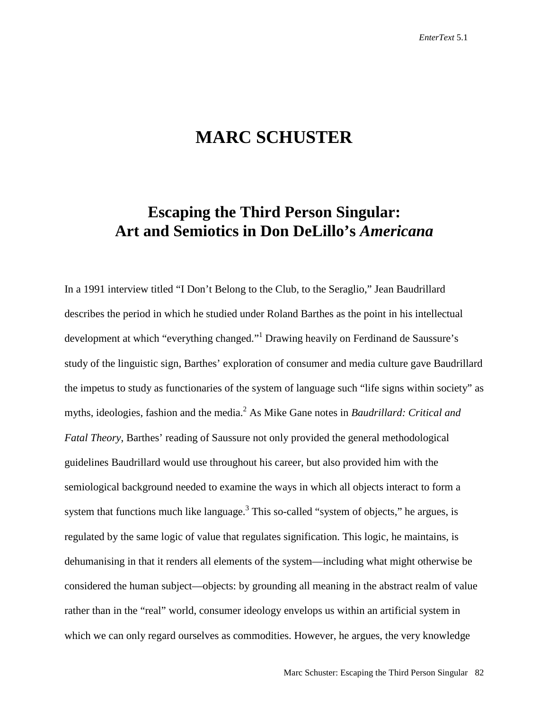## **MARC SCHUSTER**

## **Escaping the Third Person Singular: Art and Semiotics in Don DeLillo's** *Americana*

In a 1991 interview titled "I Don't Belong to the Club, to the Seraglio," Jean Baudrillard describes the period in which he studied under Roland Barthes as the point in his intellectual development at which "everything changed."1 Drawing heavily on Ferdinand de Saussure's study of the linguistic sign, Barthes' exploration of consumer and media culture gave Baudrillard the impetus to study as functionaries of the system of language such "life signs within society" as myths, ideologies, fashion and the media.2 As Mike Gane notes in *Baudrillard: Critical and Fatal Theory*, Barthes' reading of Saussure not only provided the general methodological guidelines Baudrillard would use throughout his career, but also provided him with the semiological background needed to examine the ways in which all objects interact to form a system that functions much like language.<sup>3</sup> This so-called "system of objects," he argues, is regulated by the same logic of value that regulates signification. This logic, he maintains, is dehumanising in that it renders all elements of the system—including what might otherwise be considered the human subject—objects: by grounding all meaning in the abstract realm of value rather than in the "real" world, consumer ideology envelops us within an artificial system in which we can only regard ourselves as commodities. However, he argues, the very knowledge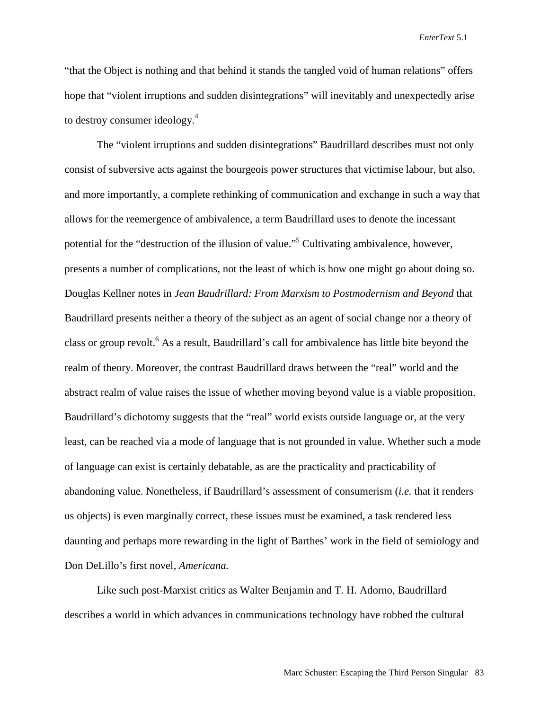"that the Object is nothing and that behind it stands the tangled void of human relations" offers hope that "violent irruptions and sudden disintegrations" will inevitably and unexpectedly arise to destroy consumer ideology.4

The "violent irruptions and sudden disintegrations" Baudrillard describes must not only consist of subversive acts against the bourgeois power structures that victimise labour, but also, and more importantly, a complete rethinking of communication and exchange in such a way that allows for the reemergence of ambivalence, a term Baudrillard uses to denote the incessant potential for the "destruction of the illusion of value."5 Cultivating ambivalence, however, presents a number of complications, not the least of which is how one might go about doing so. Douglas Kellner notes in *Jean Baudrillard: From Marxism to Postmodernism and Beyond* that Baudrillard presents neither a theory of the subject as an agent of social change nor a theory of class or group revolt.<sup>6</sup> As a result, Baudrillard's call for ambivalence has little bite beyond the realm of theory. Moreover, the contrast Baudrillard draws between the "real" world and the abstract realm of value raises the issue of whether moving beyond value is a viable proposition. Baudrillard's dichotomy suggests that the "real" world exists outside language or, at the very least, can be reached via a mode of language that is not grounded in value. Whether such a mode of language can exist is certainly debatable, as are the practicality and practicability of abandoning value. Nonetheless, if Baudrillard's assessment of consumerism (*i.e.* that it renders us objects) is even marginally correct, these issues must be examined, a task rendered less daunting and perhaps more rewarding in the light of Barthes' work in the field of semiology and Don DeLillo's first novel, *Americana.*

Like such post-Marxist critics as Walter Benjamin and T. H. Adorno, Baudrillard describes a world in which advances in communications technology have robbed the cultural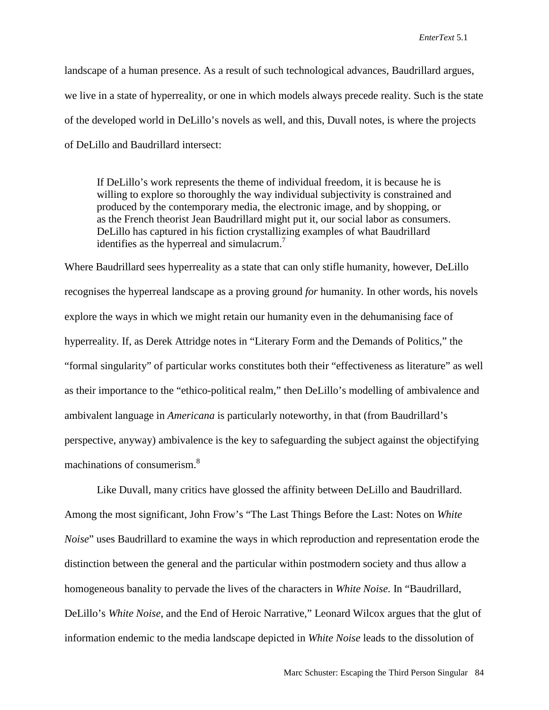landscape of a human presence. As a result of such technological advances, Baudrillard argues, we live in a state of hyperreality, or one in which models always precede reality. Such is the state of the developed world in DeLillo's novels as well, and this, Duvall notes, is where the projects of DeLillo and Baudrillard intersect:

If DeLillo's work represents the theme of individual freedom, it is because he is willing to explore so thoroughly the way individual subjectivity is constrained and produced by the contemporary media, the electronic image, and by shopping, or as the French theorist Jean Baudrillard might put it, our social labor as consumers. DeLillo has captured in his fiction crystallizing examples of what Baudrillard identifies as the hyperreal and simulacrum.<sup>7</sup>

Where Baudrillard sees hyperreality as a state that can only stifle humanity, however, DeLillo recognises the hyperreal landscape as a proving ground *for* humanity. In other words, his novels explore the ways in which we might retain our humanity even in the dehumanising face of hyperreality. If, as Derek Attridge notes in "Literary Form and the Demands of Politics," the "formal singularity" of particular works constitutes both their "effectiveness as literature" as well as their importance to the "ethico-political realm," then DeLillo's modelling of ambivalence and ambivalent language in *Americana* is particularly noteworthy, in that (from Baudrillard's perspective, anyway) ambivalence is the key to safeguarding the subject against the objectifying machinations of consumerism.8

Like Duvall, many critics have glossed the affinity between DeLillo and Baudrillard. Among the most significant, John Frow's "The Last Things Before the Last: Notes on *White Noise*" uses Baudrillard to examine the ways in which reproduction and representation erode the distinction between the general and the particular within postmodern society and thus allow a homogeneous banality to pervade the lives of the characters in *White Noise.* In "Baudrillard, DeLillo's *White Noise*, and the End of Heroic Narrative," Leonard Wilcox argues that the glut of information endemic to the media landscape depicted in *White Noise* leads to the dissolution of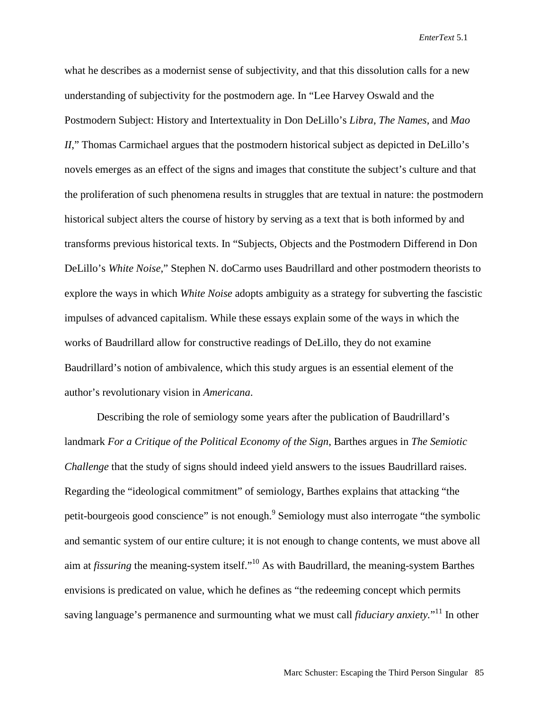what he describes as a modernist sense of subjectivity, and that this dissolution calls for a new understanding of subjectivity for the postmodern age. In "Lee Harvey Oswald and the Postmodern Subject: History and Intertextuality in Don DeLillo's *Libra*, *The Names*, and *Mao II*," Thomas Carmichael argues that the postmodern historical subject as depicted in DeLillo's novels emerges as an effect of the signs and images that constitute the subject's culture and that the proliferation of such phenomena results in struggles that are textual in nature: the postmodern historical subject alters the course of history by serving as a text that is both informed by and transforms previous historical texts. In "Subjects, Objects and the Postmodern Differend in Don DeLillo's *White Noise*," Stephen N. doCarmo uses Baudrillard and other postmodern theorists to explore the ways in which *White Noise* adopts ambiguity as a strategy for subverting the fascistic impulses of advanced capitalism. While these essays explain some of the ways in which the works of Baudrillard allow for constructive readings of DeLillo, they do not examine Baudrillard's notion of ambivalence, which this study argues is an essential element of the author's revolutionary vision in *Americana*.

Describing the role of semiology some years after the publication of Baudrillard's landmark *For a Critique of the Political Economy of the Sign*, Barthes argues in *The Semiotic Challenge* that the study of signs should indeed yield answers to the issues Baudrillard raises. Regarding the "ideological commitment" of semiology, Barthes explains that attacking "the petit-bourgeois good conscience" is not enough.<sup>9</sup> Semiology must also interrogate "the symbolic and semantic system of our entire culture; it is not enough to change contents, we must above all aim at *fissuring* the meaning-system itself."10 As with Baudrillard, the meaning-system Barthes envisions is predicated on value, which he defines as "the redeeming concept which permits saving language's permanence and surmounting what we must call *fiduciary anxiety*."<sup>11</sup> In other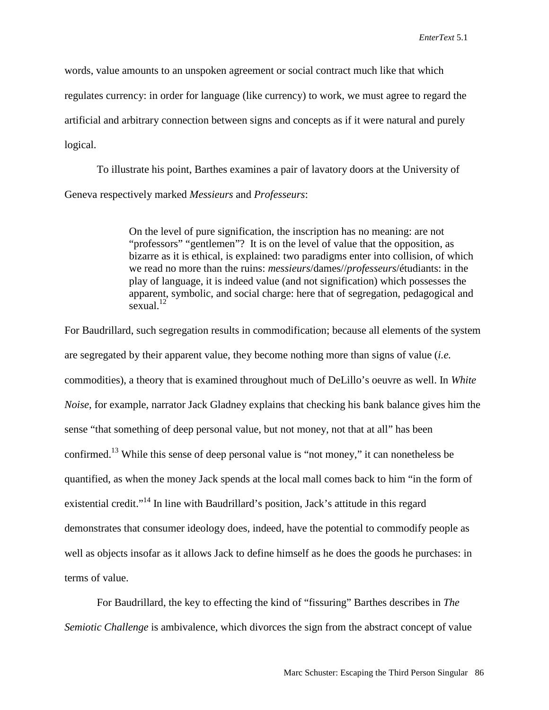words, value amounts to an unspoken agreement or social contract much like that which regulates currency: in order for language (like currency) to work, we must agree to regard the artificial and arbitrary connection between signs and concepts as if it were natural and purely logical.

To illustrate his point, Barthes examines a pair of lavatory doors at the University of Geneva respectively marked *Messieurs* and *Professeurs*:

> On the level of pure signification, the inscription has no meaning: are not "professors" "gentlemen"? It is on the level of value that the opposition, as bizarre as it is ethical, is explained: two paradigms enter into collision, of which we read no more than the ruins: *messieurs*/dames//*professeurs*/étudiants: in the play of language, it is indeed value (and not signification) which possesses the apparent, symbolic, and social charge: here that of segregation, pedagogical and sexual. $^{12}$

For Baudrillard, such segregation results in commodification; because all elements of the system are segregated by their apparent value, they become nothing more than signs of value (*i.e.* commodities), a theory that is examined throughout much of DeLillo's oeuvre as well. In *White Noise*, for example, narrator Jack Gladney explains that checking his bank balance gives him the sense "that something of deep personal value, but not money, not that at all" has been confirmed.<sup>13</sup> While this sense of deep personal value is "not money," it can nonetheless be quantified, as when the money Jack spends at the local mall comes back to him "in the form of existential credit."<sup>14</sup> In line with Baudrillard's position, Jack's attitude in this regard demonstrates that consumer ideology does, indeed, have the potential to commodify people as well as objects insofar as it allows Jack to define himself as he does the goods he purchases: in terms of value.

For Baudrillard, the key to effecting the kind of "fissuring" Barthes describes in *The Semiotic Challenge* is ambivalence, which divorces the sign from the abstract concept of value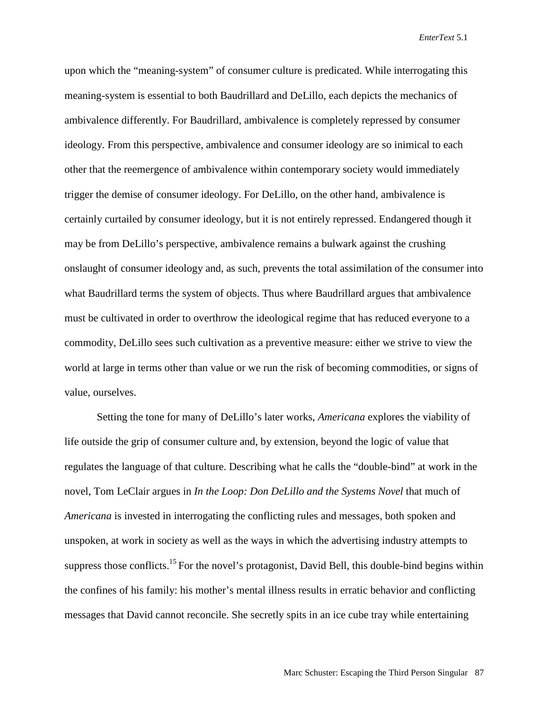upon which the "meaning-system" of consumer culture is predicated. While interrogating this meaning-system is essential to both Baudrillard and DeLillo, each depicts the mechanics of ambivalence differently. For Baudrillard, ambivalence is completely repressed by consumer ideology. From this perspective, ambivalence and consumer ideology are so inimical to each other that the reemergence of ambivalence within contemporary society would immediately trigger the demise of consumer ideology. For DeLillo, on the other hand, ambivalence is certainly curtailed by consumer ideology, but it is not entirely repressed. Endangered though it may be from DeLillo's perspective, ambivalence remains a bulwark against the crushing onslaught of consumer ideology and, as such, prevents the total assimilation of the consumer into what Baudrillard terms the system of objects. Thus where Baudrillard argues that ambivalence must be cultivated in order to overthrow the ideological regime that has reduced everyone to a commodity, DeLillo sees such cultivation as a preventive measure: either we strive to view the world at large in terms other than value or we run the risk of becoming commodities, or signs of value, ourselves.

Setting the tone for many of DeLillo's later works, *Americana* explores the viability of life outside the grip of consumer culture and, by extension, beyond the logic of value that regulates the language of that culture. Describing what he calls the "double-bind" at work in the novel, Tom LeClair argues in *In the Loop: Don DeLillo and the Systems Novel* that much of *Americana* is invested in interrogating the conflicting rules and messages, both spoken and unspoken, at work in society as well as the ways in which the advertising industry attempts to suppress those conflicts.<sup>15</sup> For the novel's protagonist, David Bell, this double-bind begins within the confines of his family: his mother's mental illness results in erratic behavior and conflicting messages that David cannot reconcile. She secretly spits in an ice cube tray while entertaining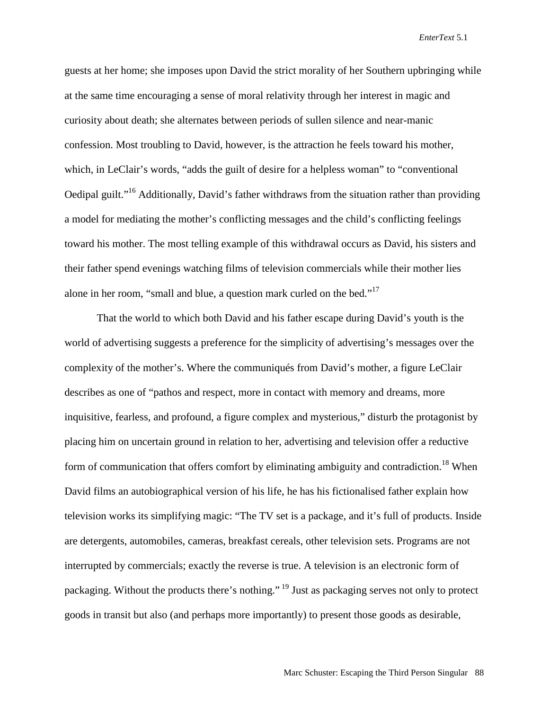guests at her home; she imposes upon David the strict morality of her Southern upbringing while at the same time encouraging a sense of moral relativity through her interest in magic and curiosity about death; she alternates between periods of sullen silence and near-manic confession. Most troubling to David, however, is the attraction he feels toward his mother, which, in LeClair's words, "adds the guilt of desire for a helpless woman" to "conventional Oedipal guilt."16 Additionally, David's father withdraws from the situation rather than providing a model for mediating the mother's conflicting messages and the child's conflicting feelings toward his mother. The most telling example of this withdrawal occurs as David, his sisters and their father spend evenings watching films of television commercials while their mother lies alone in her room, "small and blue, a question mark curled on the bed."<sup>17</sup>

That the world to which both David and his father escape during David's youth is the world of advertising suggests a preference for the simplicity of advertising's messages over the complexity of the mother's. Where the communiqués from David's mother, a figure LeClair describes as one of "pathos and respect, more in contact with memory and dreams, more inquisitive, fearless, and profound, a figure complex and mysterious," disturb the protagonist by placing him on uncertain ground in relation to her, advertising and television offer a reductive form of communication that offers comfort by eliminating ambiguity and contradiction.<sup>18</sup> When David films an autobiographical version of his life, he has his fictionalised father explain how television works its simplifying magic: "The TV set is a package, and it's full of products. Inside are detergents, automobiles, cameras, breakfast cereals, other television sets. Programs are not interrupted by commercials; exactly the reverse is true. A television is an electronic form of packaging. Without the products there's nothing." <sup>19</sup> Just as packaging serves not only to protect goods in transit but also (and perhaps more importantly) to present those goods as desirable,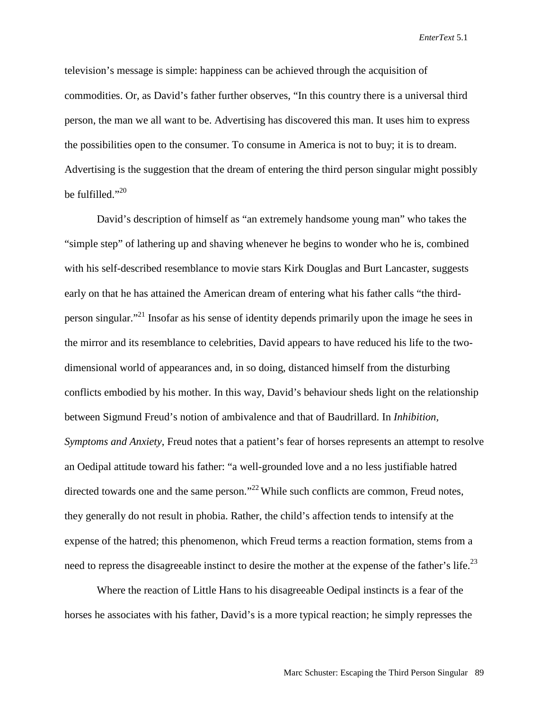television's message is simple: happiness can be achieved through the acquisition of commodities. Or, as David's father further observes, "In this country there is a universal third person, the man we all want to be. Advertising has discovered this man. It uses him to express the possibilities open to the consumer. To consume in America is not to buy; it is to dream. Advertising is the suggestion that the dream of entering the third person singular might possibly be fulfilled. $"^{20}$ 

David's description of himself as "an extremely handsome young man" who takes the "simple step" of lathering up and shaving whenever he begins to wonder who he is, combined with his self-described resemblance to movie stars Kirk Douglas and Burt Lancaster, suggests early on that he has attained the American dream of entering what his father calls "the thirdperson singular."21 Insofar as his sense of identity depends primarily upon the image he sees in the mirror and its resemblance to celebrities, David appears to have reduced his life to the twodimensional world of appearances and, in so doing, distanced himself from the disturbing conflicts embodied by his mother. In this way, David's behaviour sheds light on the relationship between Sigmund Freud's notion of ambivalence and that of Baudrillard. In *Inhibition, Symptoms and Anxiety*, Freud notes that a patient's fear of horses represents an attempt to resolve an Oedipal attitude toward his father: "a well-grounded love and a no less justifiable hatred directed towards one and the same person."<sup>22</sup> While such conflicts are common, Freud notes, they generally do not result in phobia. Rather, the child's affection tends to intensify at the expense of the hatred; this phenomenon, which Freud terms a reaction formation, stems from a need to repress the disagreeable instinct to desire the mother at the expense of the father's life.<sup>23</sup>

Where the reaction of Little Hans to his disagreeable Oedipal instincts is a fear of the horses he associates with his father, David's is a more typical reaction; he simply represses the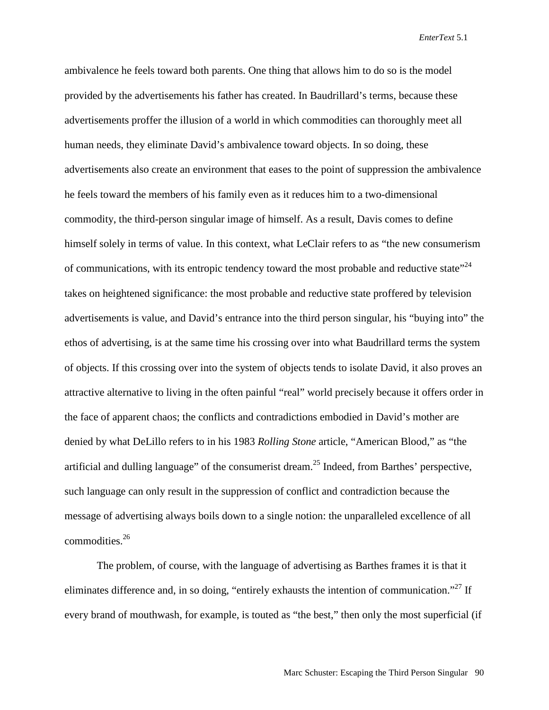ambivalence he feels toward both parents. One thing that allows him to do so is the model provided by the advertisements his father has created. In Baudrillard's terms, because these advertisements proffer the illusion of a world in which commodities can thoroughly meet all human needs, they eliminate David's ambivalence toward objects. In so doing, these advertisements also create an environment that eases to the point of suppression the ambivalence he feels toward the members of his family even as it reduces him to a two-dimensional commodity, the third-person singular image of himself. As a result, Davis comes to define himself solely in terms of value. In this context, what LeClair refers to as "the new consumerism of communications, with its entropic tendency toward the most probable and reductive state<sup> $24$ </sup> takes on heightened significance: the most probable and reductive state proffered by television advertisements is value, and David's entrance into the third person singular, his "buying into" the ethos of advertising, is at the same time his crossing over into what Baudrillard terms the system of objects. If this crossing over into the system of objects tends to isolate David, it also proves an attractive alternative to living in the often painful "real" world precisely because it offers order in the face of apparent chaos; the conflicts and contradictions embodied in David's mother are denied by what DeLillo refers to in his 1983 *Rolling Stone* article, "American Blood," as "the artificial and dulling language" of the consumerist dream.<sup>25</sup> Indeed, from Barthes' perspective, such language can only result in the suppression of conflict and contradiction because the message of advertising always boils down to a single notion: the unparalleled excellence of all commodities.<sup>26</sup>

The problem, of course, with the language of advertising as Barthes frames it is that it eliminates difference and, in so doing, "entirely exhausts the intention of communication."<sup>27</sup> If every brand of mouthwash, for example, is touted as "the best," then only the most superficial (if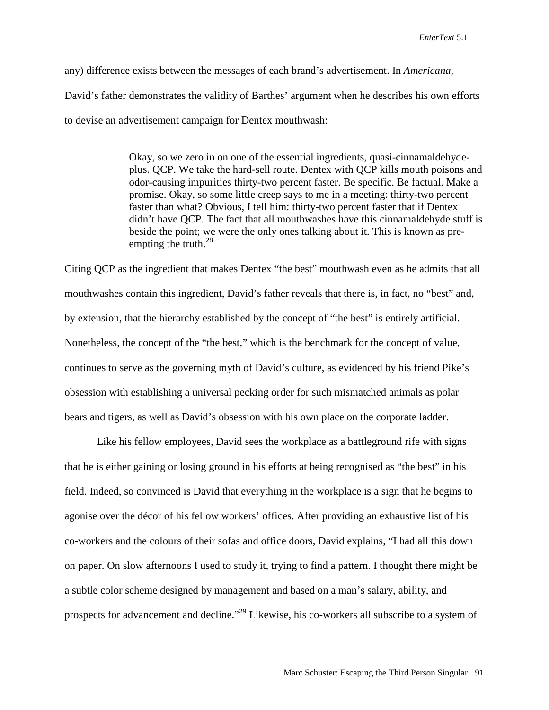any) difference exists between the messages of each brand's advertisement. In *Americana*, David's father demonstrates the validity of Barthes' argument when he describes his own efforts to devise an advertisement campaign for Dentex mouthwash:

> Okay, so we zero in on one of the essential ingredients, quasi-cinnamaldehydeplus. QCP. We take the hard-sell route. Dentex with QCP kills mouth poisons and odor-causing impurities thirty-two percent faster. Be specific. Be factual. Make a promise. Okay, so some little creep says to me in a meeting: thirty-two percent faster than what? Obvious, I tell him: thirty-two percent faster that if Dentex didn't have QCP. The fact that all mouthwashes have this cinnamaldehyde stuff is beside the point; we were the only ones talking about it. This is known as preempting the truth. $^{28}$

Citing QCP as the ingredient that makes Dentex "the best" mouthwash even as he admits that all mouthwashes contain this ingredient, David's father reveals that there is, in fact, no "best" and, by extension, that the hierarchy established by the concept of "the best" is entirely artificial. Nonetheless, the concept of the "the best," which is the benchmark for the concept of value, continues to serve as the governing myth of David's culture, as evidenced by his friend Pike's obsession with establishing a universal pecking order for such mismatched animals as polar bears and tigers, as well as David's obsession with his own place on the corporate ladder.

Like his fellow employees, David sees the workplace as a battleground rife with signs that he is either gaining or losing ground in his efforts at being recognised as "the best" in his field. Indeed, so convinced is David that everything in the workplace is a sign that he begins to agonise over the décor of his fellow workers' offices. After providing an exhaustive list of his co-workers and the colours of their sofas and office doors, David explains, "I had all this down on paper. On slow afternoons I used to study it, trying to find a pattern. I thought there might be a subtle color scheme designed by management and based on a man's salary, ability, and prospects for advancement and decline."29 Likewise, his co-workers all subscribe to a system of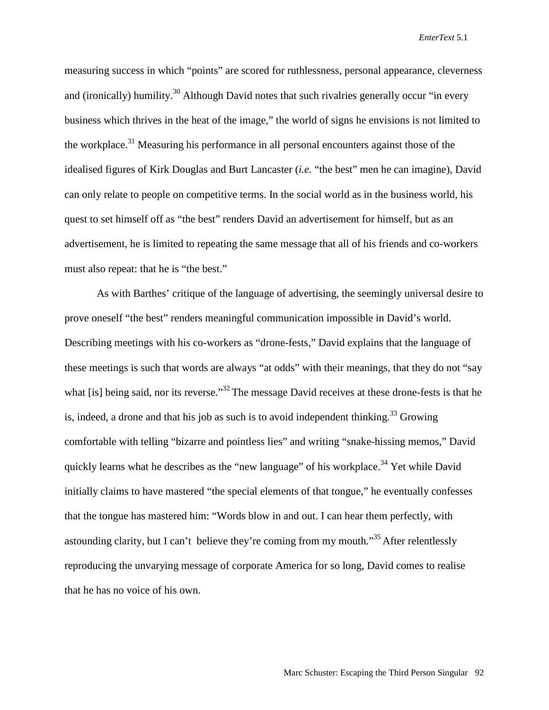measuring success in which "points" are scored for ruthlessness, personal appearance, cleverness and (ironically) humility.<sup>30</sup> Although David notes that such rivalries generally occur "in every business which thrives in the heat of the image," the world of signs he envisions is not limited to the workplace.<sup>31</sup> Measuring his performance in all personal encounters against those of the idealised figures of Kirk Douglas and Burt Lancaster (*i.e.* "the best" men he can imagine), David can only relate to people on competitive terms. In the social world as in the business world, his quest to set himself off as "the best" renders David an advertisement for himself, but as an advertisement, he is limited to repeating the same message that all of his friends and co-workers must also repeat: that he is "the best."

As with Barthes' critique of the language of advertising, the seemingly universal desire to prove oneself "the best" renders meaningful communication impossible in David's world. Describing meetings with his co-workers as "drone-fests," David explains that the language of these meetings is such that words are always "at odds" with their meanings, that they do not "say what [is] being said, nor its reverse."<sup>32</sup> The message David receives at these drone-fests is that he is, indeed, a drone and that his job as such is to avoid independent thinking.<sup>33</sup> Growing comfortable with telling "bizarre and pointless lies" and writing "snake-hissing memos," David quickly learns what he describes as the "new language" of his workplace.<sup>34</sup> Yet while David initially claims to have mastered "the special elements of that tongue," he eventually confesses that the tongue has mastered him: "Words blow in and out. I can hear them perfectly, with astounding clarity, but I can't believe they're coming from my mouth."<sup>35</sup> After relentlessly reproducing the unvarying message of corporate America for so long, David comes to realise that he has no voice of his own.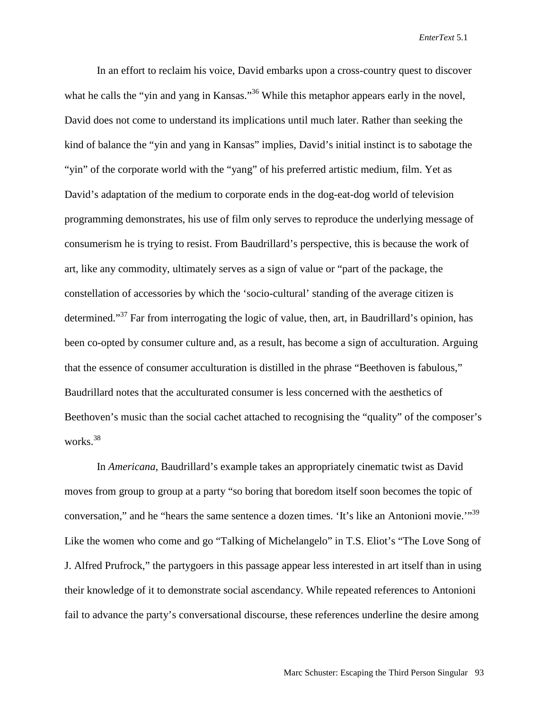In an effort to reclaim his voice, David embarks upon a cross-country quest to discover what he calls the "yin and yang in Kansas."<sup>36</sup> While this metaphor appears early in the novel, David does not come to understand its implications until much later. Rather than seeking the kind of balance the "yin and yang in Kansas" implies, David's initial instinct is to sabotage the "yin" of the corporate world with the "yang" of his preferred artistic medium, film. Yet as David's adaptation of the medium to corporate ends in the dog-eat-dog world of television programming demonstrates, his use of film only serves to reproduce the underlying message of consumerism he is trying to resist. From Baudrillard's perspective, this is because the work of art, like any commodity, ultimately serves as a sign of value or "part of the package, the constellation of accessories by which the 'socio-cultural' standing of the average citizen is determined."<sup>37</sup> Far from interrogating the logic of value, then, art, in Baudrillard's opinion, has been co-opted by consumer culture and, as a result, has become a sign of acculturation. Arguing that the essence of consumer acculturation is distilled in the phrase "Beethoven is fabulous," Baudrillard notes that the acculturated consumer is less concerned with the aesthetics of Beethoven's music than the social cachet attached to recognising the "quality" of the composer's works.38

In *Americana*, Baudrillard's example takes an appropriately cinematic twist as David moves from group to group at a party "so boring that boredom itself soon becomes the topic of conversation," and he "hears the same sentence a dozen times. 'It's like an Antonioni movie."<sup>39</sup> Like the women who come and go "Talking of Michelangelo" in T.S. Eliot's "The Love Song of J. Alfred Prufrock," the partygoers in this passage appear less interested in art itself than in using their knowledge of it to demonstrate social ascendancy. While repeated references to Antonioni fail to advance the party's conversational discourse, these references underline the desire among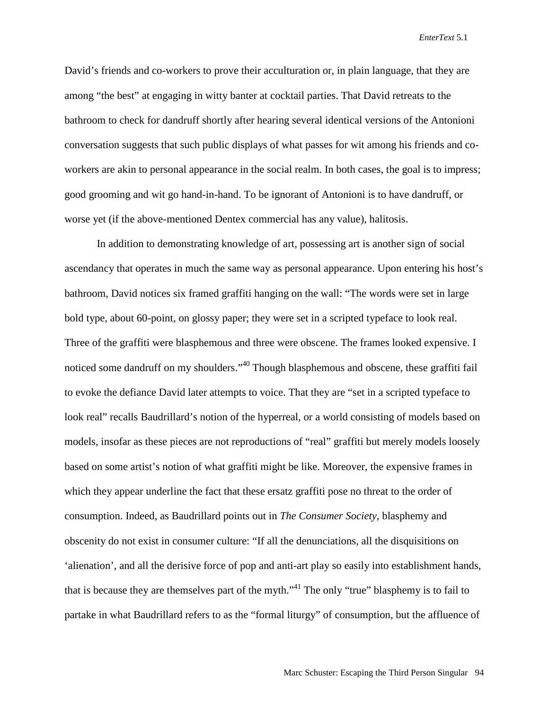David's friends and co-workers to prove their acculturation or, in plain language, that they are among "the best" at engaging in witty banter at cocktail parties. That David retreats to the bathroom to check for dandruff shortly after hearing several identical versions of the Antonioni conversation suggests that such public displays of what passes for wit among his friends and coworkers are akin to personal appearance in the social realm. In both cases, the goal is to impress; good grooming and wit go hand-in-hand. To be ignorant of Antonioni is to have dandruff, or worse yet (if the above-mentioned Dentex commercial has any value), halitosis.

In addition to demonstrating knowledge of art, possessing art is another sign of social ascendancy that operates in much the same way as personal appearance. Upon entering his host's bathroom, David notices six framed graffiti hanging on the wall: "The words were set in large bold type, about 60-point, on glossy paper; they were set in a scripted typeface to look real. Three of the graffiti were blasphemous and three were obscene. The frames looked expensive. I noticed some dandruff on my shoulders."<sup>40</sup> Though blasphemous and obscene, these graffiti fail to evoke the defiance David later attempts to voice. That they are "set in a scripted typeface to look real" recalls Baudrillard's notion of the hyperreal, or a world consisting of models based on models, insofar as these pieces are not reproductions of "real" graffiti but merely models loosely based on some artist's notion of what graffiti might be like. Moreover, the expensive frames in which they appear underline the fact that these ersatz graffiti pose no threat to the order of consumption. Indeed, as Baudrillard points out in *The Consumer Society*, blasphemy and obscenity do not exist in consumer culture: "If all the denunciations, all the disquisitions on 'alienation', and all the derisive force of pop and anti-art play so easily into establishment hands, that is because they are themselves part of the myth."<sup>41</sup> The only "true" blasphemy is to fail to partake in what Baudrillard refers to as the "formal liturgy" of consumption, but the affluence of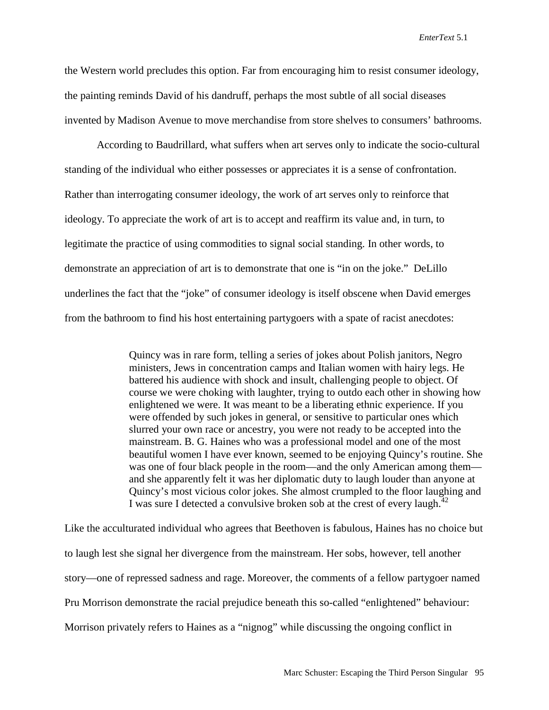the Western world precludes this option. Far from encouraging him to resist consumer ideology, the painting reminds David of his dandruff, perhaps the most subtle of all social diseases invented by Madison Avenue to move merchandise from store shelves to consumers' bathrooms.

According to Baudrillard, what suffers when art serves only to indicate the socio-cultural standing of the individual who either possesses or appreciates it is a sense of confrontation. Rather than interrogating consumer ideology, the work of art serves only to reinforce that ideology. To appreciate the work of art is to accept and reaffirm its value and, in turn, to legitimate the practice of using commodities to signal social standing. In other words, to demonstrate an appreciation of art is to demonstrate that one is "in on the joke." DeLillo underlines the fact that the "joke" of consumer ideology is itself obscene when David emerges from the bathroom to find his host entertaining partygoers with a spate of racist anecdotes:

> Quincy was in rare form, telling a series of jokes about Polish janitors, Negro ministers, Jews in concentration camps and Italian women with hairy legs. He battered his audience with shock and insult, challenging people to object. Of course we were choking with laughter, trying to outdo each other in showing how enlightened we were. It was meant to be a liberating ethnic experience. If you were offended by such jokes in general, or sensitive to particular ones which slurred your own race or ancestry, you were not ready to be accepted into the mainstream. B. G. Haines who was a professional model and one of the most beautiful women I have ever known, seemed to be enjoying Quincy's routine. She was one of four black people in the room—and the only American among them and she apparently felt it was her diplomatic duty to laugh louder than anyone at Quincy's most vicious color jokes. She almost crumpled to the floor laughing and I was sure I detected a convulsive broken sob at the crest of every laugh.<sup>42</sup>

Like the acculturated individual who agrees that Beethoven is fabulous, Haines has no choice but to laugh lest she signal her divergence from the mainstream. Her sobs, however, tell another story—one of repressed sadness and rage. Moreover, the comments of a fellow partygoer named Pru Morrison demonstrate the racial prejudice beneath this so-called "enlightened" behaviour: Morrison privately refers to Haines as a "nignog" while discussing the ongoing conflict in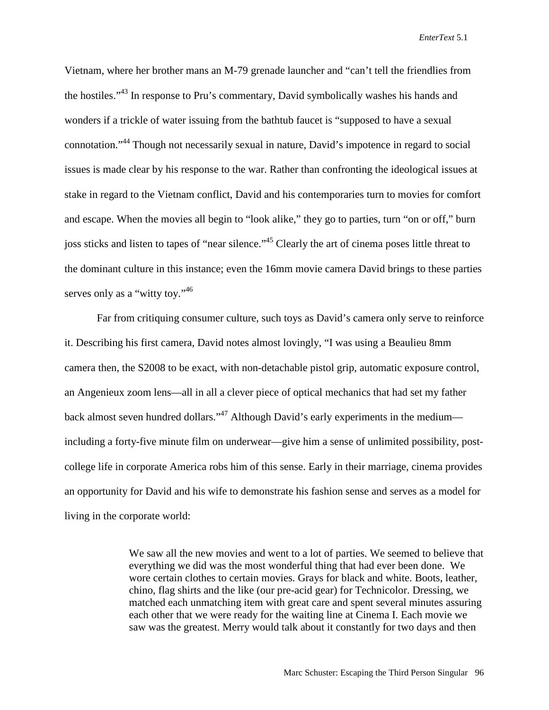Vietnam, where her brother mans an M-79 grenade launcher and "can't tell the friendlies from the hostiles."43 In response to Pru's commentary, David symbolically washes his hands and wonders if a trickle of water issuing from the bathtub faucet is "supposed to have a sexual connotation."44 Though not necessarily sexual in nature, David's impotence in regard to social issues is made clear by his response to the war. Rather than confronting the ideological issues at stake in regard to the Vietnam conflict, David and his contemporaries turn to movies for comfort and escape. When the movies all begin to "look alike," they go to parties, turn "on or off," burn joss sticks and listen to tapes of "near silence."45 Clearly the art of cinema poses little threat to the dominant culture in this instance; even the 16mm movie camera David brings to these parties serves only as a "witty toy."<sup>46</sup>

Far from critiquing consumer culture, such toys as David's camera only serve to reinforce it. Describing his first camera, David notes almost lovingly, "I was using a Beaulieu 8mm camera then, the S2008 to be exact, with non-detachable pistol grip, automatic exposure control, an Angenieux zoom lens—all in all a clever piece of optical mechanics that had set my father back almost seven hundred dollars."<sup>47</sup> Although David's early experiments in the medium including a forty-five minute film on underwear—give him a sense of unlimited possibility, postcollege life in corporate America robs him of this sense. Early in their marriage, cinema provides an opportunity for David and his wife to demonstrate his fashion sense and serves as a model for living in the corporate world:

> We saw all the new movies and went to a lot of parties. We seemed to believe that everything we did was the most wonderful thing that had ever been done. We wore certain clothes to certain movies. Grays for black and white. Boots, leather, chino, flag shirts and the like (our pre-acid gear) for Technicolor. Dressing, we matched each unmatching item with great care and spent several minutes assuring each other that we were ready for the waiting line at Cinema I. Each movie we saw was the greatest. Merry would talk about it constantly for two days and then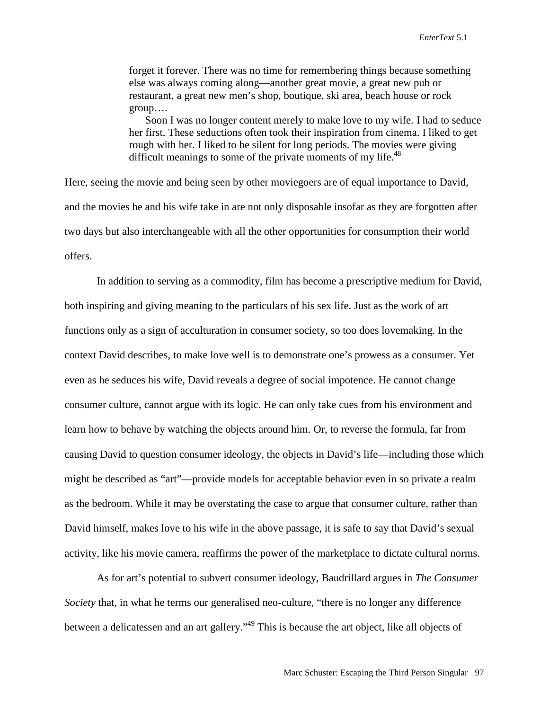forget it forever. There was no time for remembering things because something else was always coming along—another great movie, a great new pub or restaurant, a great new men's shop, boutique, ski area, beach house or rock group….

Soon I was no longer content merely to make love to my wife. I had to seduce her first. These seductions often took their inspiration from cinema. I liked to get rough with her. I liked to be silent for long periods. The movies were giving difficult meanings to some of the private moments of my life.<sup>48</sup>

Here, seeing the movie and being seen by other moviegoers are of equal importance to David, and the movies he and his wife take in are not only disposable insofar as they are forgotten after two days but also interchangeable with all the other opportunities for consumption their world offers.

In addition to serving as a commodity, film has become a prescriptive medium for David, both inspiring and giving meaning to the particulars of his sex life. Just as the work of art functions only as a sign of acculturation in consumer society, so too does lovemaking. In the context David describes, to make love well is to demonstrate one's prowess as a consumer. Yet even as he seduces his wife, David reveals a degree of social impotence. He cannot change consumer culture, cannot argue with its logic. He can only take cues from his environment and learn how to behave by watching the objects around him. Or, to reverse the formula, far from causing David to question consumer ideology, the objects in David's life—including those which might be described as "art"—provide models for acceptable behavior even in so private a realm as the bedroom. While it may be overstating the case to argue that consumer culture, rather than David himself, makes love to his wife in the above passage, it is safe to say that David's sexual activity, like his movie camera, reaffirms the power of the marketplace to dictate cultural norms.

As for art's potential to subvert consumer ideology, Baudrillard argues in *The Consumer Society* that, in what he terms our generalised neo-culture, "there is no longer any difference between a delicatessen and an art gallery."49 This is because the art object, like all objects of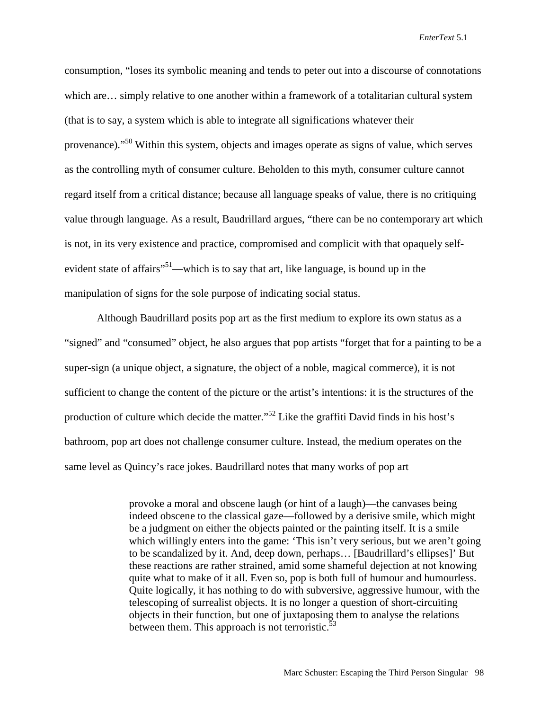consumption, "loses its symbolic meaning and tends to peter out into a discourse of connotations which are… simply relative to one another within a framework of a totalitarian cultural system (that is to say, a system which is able to integrate all significations whatever their provenance)."50 Within this system, objects and images operate as signs of value, which serves as the controlling myth of consumer culture. Beholden to this myth, consumer culture cannot regard itself from a critical distance; because all language speaks of value, there is no critiquing value through language. As a result, Baudrillard argues, "there can be no contemporary art which is not, in its very existence and practice, compromised and complicit with that opaquely selfevident state of affairs<sup>",51</sup>—which is to say that art, like language, is bound up in the manipulation of signs for the sole purpose of indicating social status.

Although Baudrillard posits pop art as the first medium to explore its own status as a "signed" and "consumed" object, he also argues that pop artists "forget that for a painting to be a super-sign (a unique object, a signature, the object of a noble, magical commerce), it is not sufficient to change the content of the picture or the artist's intentions: it is the structures of the production of culture which decide the matter."52 Like the graffiti David finds in his host's bathroom, pop art does not challenge consumer culture. Instead, the medium operates on the same level as Quincy's race jokes. Baudrillard notes that many works of pop art

> provoke a moral and obscene laugh (or hint of a laugh)—the canvases being indeed obscene to the classical gaze—followed by a derisive smile, which might be a judgment on either the objects painted or the painting itself. It is a smile which willingly enters into the game: 'This isn't very serious, but we aren't going to be scandalized by it. And, deep down, perhaps… [Baudrillard's ellipses]' But these reactions are rather strained, amid some shameful dejection at not knowing quite what to make of it all. Even so, pop is both full of humour and humourless. Quite logically, it has nothing to do with subversive, aggressive humour, with the telescoping of surrealist objects. It is no longer a question of short-circuiting objects in their function, but one of juxtaposing them to analyse the relations between them. This approach is not terroristic. $53$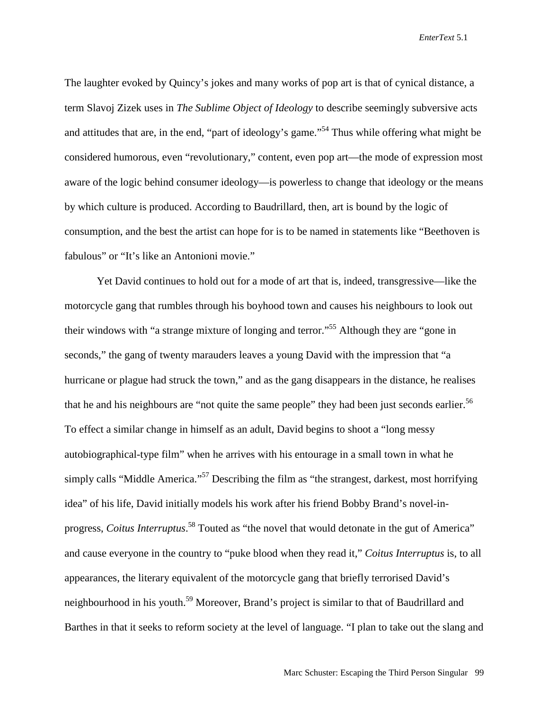The laughter evoked by Quincy's jokes and many works of pop art is that of cynical distance, a term Slavoj Zizek uses in *The Sublime Object of Ideology* to describe seemingly subversive acts and attitudes that are, in the end, "part of ideology's game."<sup>54</sup> Thus while offering what might be considered humorous, even "revolutionary," content, even pop art—the mode of expression most aware of the logic behind consumer ideology—is powerless to change that ideology or the means by which culture is produced. According to Baudrillard, then, art is bound by the logic of consumption, and the best the artist can hope for is to be named in statements like "Beethoven is fabulous" or "It's like an Antonioni movie."

Yet David continues to hold out for a mode of art that is, indeed, transgressive—like the motorcycle gang that rumbles through his boyhood town and causes his neighbours to look out their windows with "a strange mixture of longing and terror."55 Although they are "gone in seconds," the gang of twenty marauders leaves a young David with the impression that "a hurricane or plague had struck the town," and as the gang disappears in the distance, he realises that he and his neighbours are "not quite the same people" they had been just seconds earlier.<sup>56</sup> To effect a similar change in himself as an adult, David begins to shoot a "long messy autobiographical-type film" when he arrives with his entourage in a small town in what he simply calls "Middle America."<sup>57</sup> Describing the film as "the strangest, darkest, most horrifying idea" of his life, David initially models his work after his friend Bobby Brand's novel-inprogress, *Coitus Interruptus*. <sup>58</sup> Touted as "the novel that would detonate in the gut of America" and cause everyone in the country to "puke blood when they read it," *Coitus Interruptus* is, to all appearances, the literary equivalent of the motorcycle gang that briefly terrorised David's neighbourhood in his youth.<sup>59</sup> Moreover, Brand's project is similar to that of Baudrillard and Barthes in that it seeks to reform society at the level of language. "I plan to take out the slang and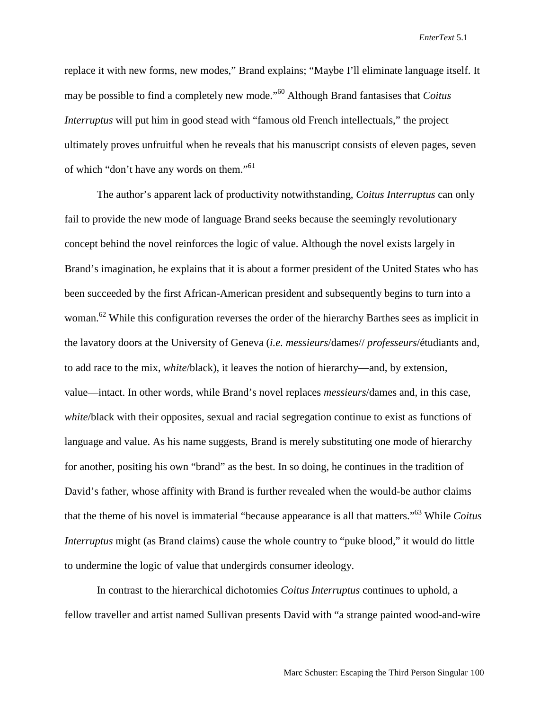replace it with new forms, new modes," Brand explains; "Maybe I'll eliminate language itself. It may be possible to find a completely new mode."60 Although Brand fantasises that *Coitus Interruptus* will put him in good stead with "famous old French intellectuals," the project ultimately proves unfruitful when he reveals that his manuscript consists of eleven pages, seven of which "don't have any words on them."<sup>61</sup>

The author's apparent lack of productivity notwithstanding, *Coitus Interruptus* can only fail to provide the new mode of language Brand seeks because the seemingly revolutionary concept behind the novel reinforces the logic of value. Although the novel exists largely in Brand's imagination, he explains that it is about a former president of the United States who has been succeeded by the first African-American president and subsequently begins to turn into a woman.<sup>62</sup> While this configuration reverses the order of the hierarchy Barthes sees as implicit in the lavatory doors at the University of Geneva (*i.e. messieurs*/dames// *professeurs*/étudiants and, to add race to the mix, *white*/black), it leaves the notion of hierarchy—and, by extension, value—intact. In other words, while Brand's novel replaces *messieurs*/dames and, in this case, *white*/black with their opposites, sexual and racial segregation continue to exist as functions of language and value. As his name suggests, Brand is merely substituting one mode of hierarchy for another, positing his own "brand" as the best. In so doing, he continues in the tradition of David's father, whose affinity with Brand is further revealed when the would-be author claims that the theme of his novel is immaterial "because appearance is all that matters."63 While *Coitus Interruptus* might (as Brand claims) cause the whole country to "puke blood," it would do little to undermine the logic of value that undergirds consumer ideology.

In contrast to the hierarchical dichotomies *Coitus Interruptus* continues to uphold, a fellow traveller and artist named Sullivan presents David with "a strange painted wood-and-wire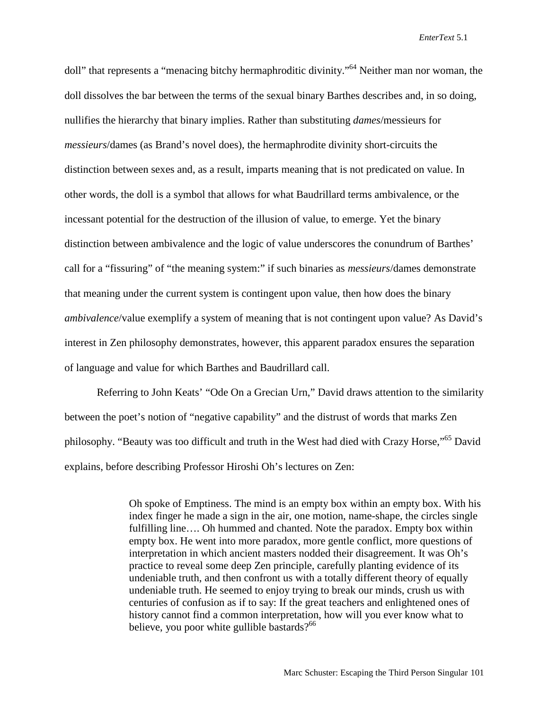doll" that represents a "menacing bitchy hermaphroditic divinity."64 Neither man nor woman, the doll dissolves the bar between the terms of the sexual binary Barthes describes and, in so doing, nullifies the hierarchy that binary implies. Rather than substituting *dames*/messieurs for *messieurs*/dames (as Brand's novel does), the hermaphrodite divinity short-circuits the distinction between sexes and, as a result, imparts meaning that is not predicated on value. In other words, the doll is a symbol that allows for what Baudrillard terms ambivalence, or the incessant potential for the destruction of the illusion of value, to emerge. Yet the binary distinction between ambivalence and the logic of value underscores the conundrum of Barthes' call for a "fissuring" of "the meaning system:" if such binaries as *messieurs*/dames demonstrate that meaning under the current system is contingent upon value, then how does the binary *ambivalence*/value exemplify a system of meaning that is not contingent upon value? As David's interest in Zen philosophy demonstrates, however, this apparent paradox ensures the separation of language and value for which Barthes and Baudrillard call.

Referring to John Keats' "Ode On a Grecian Urn," David draws attention to the similarity between the poet's notion of "negative capability" and the distrust of words that marks Zen philosophy. "Beauty was too difficult and truth in the West had died with Crazy Horse,"65 David explains, before describing Professor Hiroshi Oh's lectures on Zen:

> Oh spoke of Emptiness. The mind is an empty box within an empty box. With his index finger he made a sign in the air, one motion, name-shape, the circles single fulfilling line…. Oh hummed and chanted. Note the paradox. Empty box within empty box. He went into more paradox, more gentle conflict, more questions of interpretation in which ancient masters nodded their disagreement. It was Oh's practice to reveal some deep Zen principle, carefully planting evidence of its undeniable truth, and then confront us with a totally different theory of equally undeniable truth. He seemed to enjoy trying to break our minds, crush us with centuries of confusion as if to say: If the great teachers and enlightened ones of history cannot find a common interpretation, how will you ever know what to believe, you poor white gullible bastards? $66$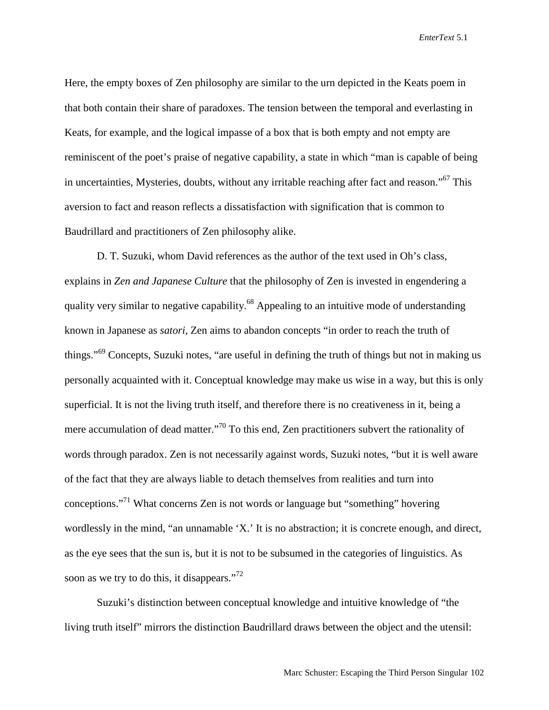Here, the empty boxes of Zen philosophy are similar to the urn depicted in the Keats poem in that both contain their share of paradoxes. The tension between the temporal and everlasting in Keats, for example, and the logical impasse of a box that is both empty and not empty are reminiscent of the poet's praise of negative capability, a state in which "man is capable of being in uncertainties, Mysteries, doubts, without any irritable reaching after fact and reason."<sup>67</sup> This aversion to fact and reason reflects a dissatisfaction with signification that is common to Baudrillard and practitioners of Zen philosophy alike.

D. T. Suzuki, whom David references as the author of the text used in Oh's class, explains in *Zen and Japanese Culture* that the philosophy of Zen is invested in engendering a quality very similar to negative capability.<sup>68</sup> Appealing to an intuitive mode of understanding known in Japanese as *satori*, Zen aims to abandon concepts "in order to reach the truth of things."69 Concepts, Suzuki notes, "are useful in defining the truth of things but not in making us personally acquainted with it. Conceptual knowledge may make us wise in a way, but this is only superficial. It is not the living truth itself, and therefore there is no creativeness in it, being a mere accumulation of dead matter."<sup>70</sup> To this end, Zen practitioners subvert the rationality of words through paradox. Zen is not necessarily against words, Suzuki notes, "but it is well aware of the fact that they are always liable to detach themselves from realities and turn into conceptions."71 What concerns Zen is not words or language but "something" hovering wordlessly in the mind, "an unnamable 'X.' It is no abstraction; it is concrete enough, and direct, as the eye sees that the sun is, but it is not to be subsumed in the categories of linguistics. As soon as we try to do this, it disappears."<sup>72</sup>

Suzuki's distinction between conceptual knowledge and intuitive knowledge of "the living truth itself" mirrors the distinction Baudrillard draws between the object and the utensil: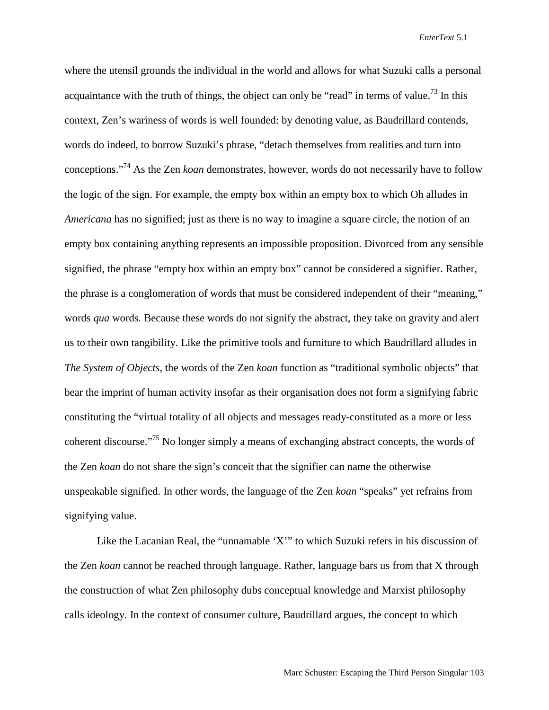where the utensil grounds the individual in the world and allows for what Suzuki calls a personal acquaintance with the truth of things, the object can only be "read" in terms of value.<sup>73</sup> In this context, Zen's wariness of words is well founded: by denoting value, as Baudrillard contends, words do indeed, to borrow Suzuki's phrase, "detach themselves from realities and turn into conceptions."74 As the Zen *koan* demonstrates, however, words do not necessarily have to follow the logic of the sign. For example, the empty box within an empty box to which Oh alludes in *Americana* has no signified; just as there is no way to imagine a square circle, the notion of an empty box containing anything represents an impossible proposition. Divorced from any sensible signified, the phrase "empty box within an empty box" cannot be considered a signifier. Rather, the phrase is a conglomeration of words that must be considered independent of their "meaning," words *qua* words. Because these words do not signify the abstract, they take on gravity and alert us to their own tangibility. Like the primitive tools and furniture to which Baudrillard alludes in *The System of Objects*, the words of the Zen *koan* function as "traditional symbolic objects" that bear the imprint of human activity insofar as their organisation does not form a signifying fabric constituting the "virtual totality of all objects and messages ready-constituted as a more or less coherent discourse."75 No longer simply a means of exchanging abstract concepts, the words of the Zen *koan* do not share the sign's conceit that the signifier can name the otherwise unspeakable signified. In other words, the language of the Zen *koan* "speaks" yet refrains from signifying value.

Like the Lacanian Real, the "unnamable 'X'" to which Suzuki refers in his discussion of the Zen *koan* cannot be reached through language. Rather, language bars us from that X through the construction of what Zen philosophy dubs conceptual knowledge and Marxist philosophy calls ideology. In the context of consumer culture, Baudrillard argues, the concept to which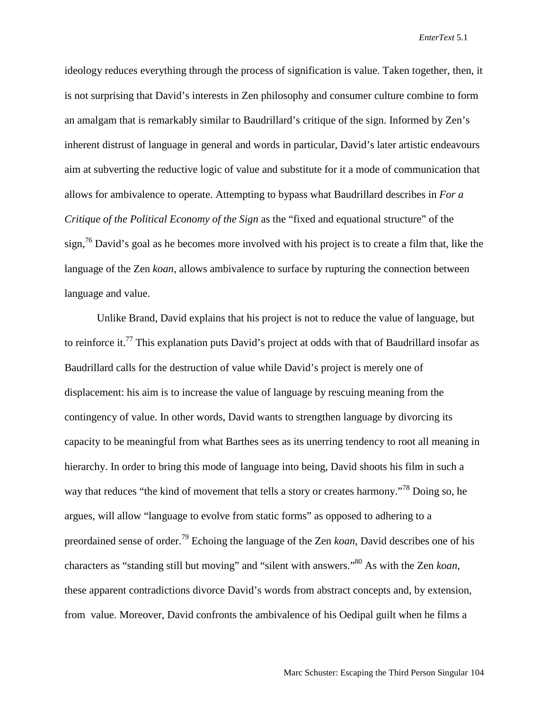ideology reduces everything through the process of signification is value. Taken together, then, it is not surprising that David's interests in Zen philosophy and consumer culture combine to form an amalgam that is remarkably similar to Baudrillard's critique of the sign. Informed by Zen's inherent distrust of language in general and words in particular, David's later artistic endeavours aim at subverting the reductive logic of value and substitute for it a mode of communication that allows for ambivalence to operate. Attempting to bypass what Baudrillard describes in *For a Critique of the Political Economy of the Sign* as the "fixed and equational structure" of the sign,<sup>76</sup> David's goal as he becomes more involved with his project is to create a film that, like the language of the Zen *koan*, allows ambivalence to surface by rupturing the connection between language and value.

Unlike Brand, David explains that his project is not to reduce the value of language, but to reinforce it.<sup>77</sup> This explanation puts David's project at odds with that of Baudrillard insofar as Baudrillard calls for the destruction of value while David's project is merely one of displacement: his aim is to increase the value of language by rescuing meaning from the contingency of value. In other words, David wants to strengthen language by divorcing its capacity to be meaningful from what Barthes sees as its unerring tendency to root all meaning in hierarchy. In order to bring this mode of language into being, David shoots his film in such a way that reduces "the kind of movement that tells a story or creates harmony."<sup>78</sup> Doing so, he argues, will allow "language to evolve from static forms" as opposed to adhering to a preordained sense of order.79 Echoing the language of the Zen *koan*, David describes one of his characters as "standing still but moving" and "silent with answers."80 As with the Zen *koan*, these apparent contradictions divorce David's words from abstract concepts and, by extension, from value. Moreover, David confronts the ambivalence of his Oedipal guilt when he films a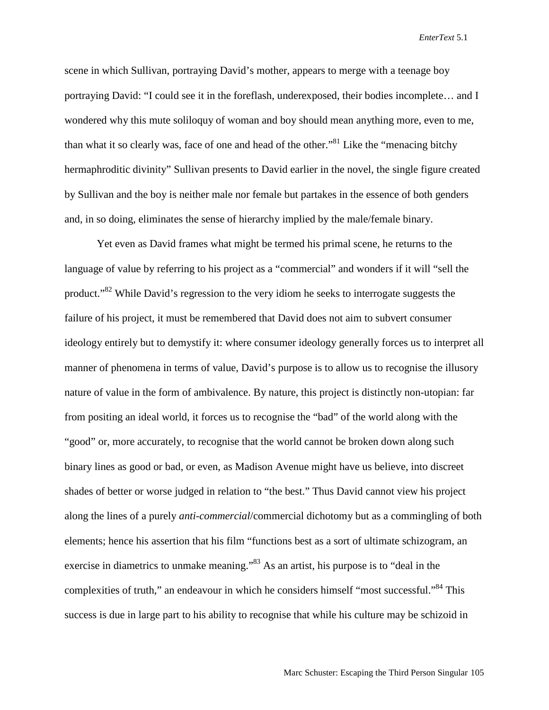scene in which Sullivan, portraying David's mother, appears to merge with a teenage boy portraying David: "I could see it in the foreflash, underexposed, their bodies incomplete… and I wondered why this mute soliloquy of woman and boy should mean anything more, even to me, than what it so clearly was, face of one and head of the other."<sup>81</sup> Like the "menacing bitchy" hermaphroditic divinity" Sullivan presents to David earlier in the novel, the single figure created by Sullivan and the boy is neither male nor female but partakes in the essence of both genders and, in so doing, eliminates the sense of hierarchy implied by the male/female binary.

Yet even as David frames what might be termed his primal scene, he returns to the language of value by referring to his project as a "commercial" and wonders if it will "sell the product."82 While David's regression to the very idiom he seeks to interrogate suggests the failure of his project, it must be remembered that David does not aim to subvert consumer ideology entirely but to demystify it: where consumer ideology generally forces us to interpret all manner of phenomena in terms of value, David's purpose is to allow us to recognise the illusory nature of value in the form of ambivalence. By nature, this project is distinctly non-utopian: far from positing an ideal world, it forces us to recognise the "bad" of the world along with the "good" or, more accurately, to recognise that the world cannot be broken down along such binary lines as good or bad, or even, as Madison Avenue might have us believe, into discreet shades of better or worse judged in relation to "the best." Thus David cannot view his project along the lines of a purely *anti-commercial*/commercial dichotomy but as a commingling of both elements; hence his assertion that his film "functions best as a sort of ultimate schizogram, an exercise in diametrics to unmake meaning."<sup>83</sup> As an artist, his purpose is to "deal in the complexities of truth," an endeavour in which he considers himself "most successful."<sup>84</sup> This success is due in large part to his ability to recognise that while his culture may be schizoid in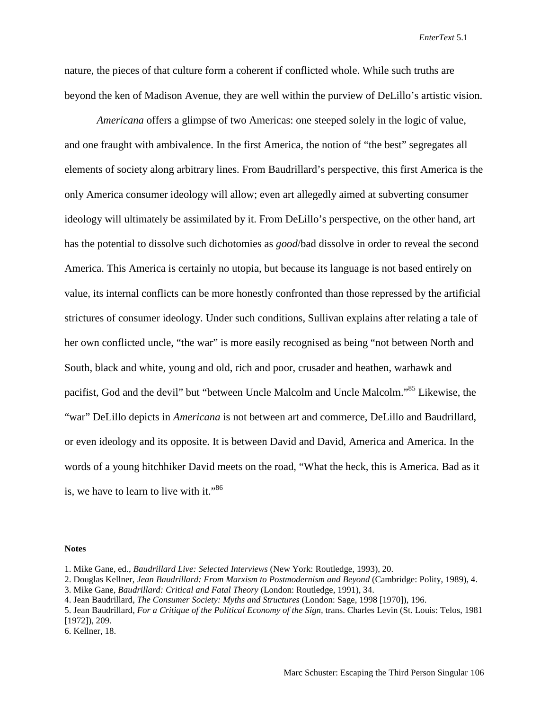nature, the pieces of that culture form a coherent if conflicted whole. While such truths are beyond the ken of Madison Avenue, they are well within the purview of DeLillo's artistic vision.

*Americana* offers a glimpse of two Americas: one steeped solely in the logic of value, and one fraught with ambivalence. In the first America, the notion of "the best" segregates all elements of society along arbitrary lines. From Baudrillard's perspective, this first America is the only America consumer ideology will allow; even art allegedly aimed at subverting consumer ideology will ultimately be assimilated by it. From DeLillo's perspective, on the other hand, art has the potential to dissolve such dichotomies as *good*/bad dissolve in order to reveal the second America. This America is certainly no utopia, but because its language is not based entirely on value, its internal conflicts can be more honestly confronted than those repressed by the artificial strictures of consumer ideology. Under such conditions, Sullivan explains after relating a tale of her own conflicted uncle, "the war" is more easily recognised as being "not between North and South, black and white, young and old, rich and poor, crusader and heathen, warhawk and pacifist, God and the devil" but "between Uncle Malcolm and Uncle Malcolm."85 Likewise, the "war" DeLillo depicts in *Americana* is not between art and commerce, DeLillo and Baudrillard, or even ideology and its opposite. It is between David and David, America and America. In the words of a young hitchhiker David meets on the road, "What the heck, this is America. Bad as it is, we have to learn to live with it."<sup>86</sup>

## **Notes**

<sup>1.</sup> Mike Gane, ed., *Baudrillard Live: Selected Interviews* (New York: Routledge, 1993), 20.

<sup>2.</sup> Douglas Kellner, *Jean Baudrillard: From Marxism to Postmodernism and Beyond* (Cambridge: Polity, 1989), 4.

<sup>3.</sup> Mike Gane, *Baudrillard: Critical and Fatal Theory* (London: Routledge, 1991), 34.

<sup>4.</sup> Jean Baudrillard, *The Consumer Society: Myths and Structures* (London: Sage, 1998 [1970]), 196.

<sup>5.</sup> Jean Baudrillard, *For a Critique of the Political Economy of the Sign,* trans. Charles Levin (St. Louis: Telos, 1981 [1972]), 209.

<sup>6.</sup> Kellner, 18.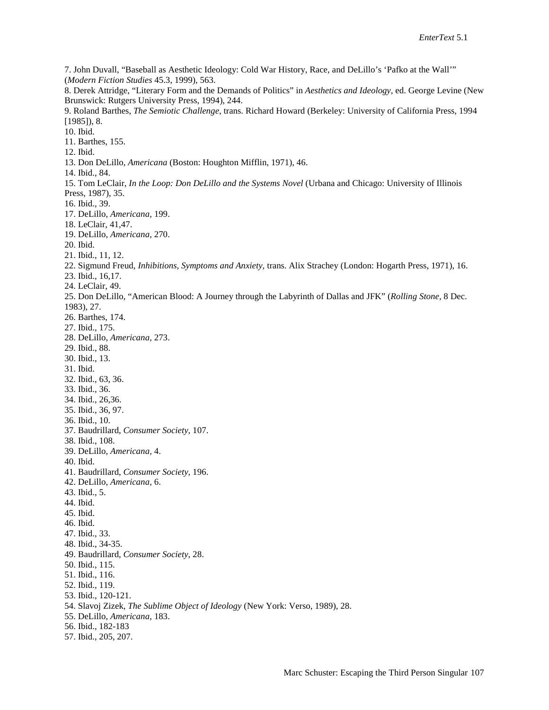7. John Duvall, "Baseball as Aesthetic Ideology: Cold War History, Race, and DeLillo's 'Pafko at the Wall'" (*Modern Fiction Studies* 45.3, 1999), 563. 8. Derek Attridge, "Literary Form and the Demands of Politics" in *Aesthetics and Ideology,* ed. George Levine (New Brunswick: Rutgers University Press, 1994), 244. 9. Roland Barthes, *The Semiotic Challenge*, trans. Richard Howard (Berkeley: University of California Press, 1994 [1985]), 8. 10. Ibid. 11. Barthes, 155. 12. Ibid. 13. Don DeLillo, *Americana* (Boston: Houghton Mifflin, 1971), 46. 14. Ibid., 84. 15. Tom LeClair, *In the Loop: Don DeLillo and the Systems Novel* (Urbana and Chicago: University of Illinois Press, 1987), 35. 16. Ibid., 39. 17. DeLillo, *Americana,* 199. 18. LeClair, 41,47. 19. DeLillo, *Americana,* 270. 20. Ibid. 21. Ibid., 11, 12. 22. Sigmund Freud, *Inhibitions, Symptoms and Anxiety,* trans. Alix Strachey (London: Hogarth Press, 1971), 16. 23. Ibid., 16,17. 24. LeClair, 49. 25. Don DeLillo, "American Blood: A Journey through the Labyrinth of Dallas and JFK" (*Rolling Stone,* 8 Dec. 1983), 27. 26. Barthes, 174. 27. Ibid., 175. 28. DeLillo, *Americana,* 273. 29. Ibid., 88. 30. Ibid., 13. 31. Ibid. 32. Ibid., 63, 36. 33. Ibid., 36. 34. Ibid., 26,36. 35. Ibid., 36, 97. 36. Ibid., 10. 37. Baudrillard, *Consumer Society,* 107. 38. Ibid., 108. 39. DeLillo, *Americana,* 4. 40. Ibid. 41. Baudrillard, *Consumer Society,* 196. 42. DeLillo, *Americana,* 6. 43. Ibid., 5. 44. Ibid. 45. Ibid. 46. Ibid. 47. Ibid., 33. 48. Ibid., 34-35. 49. Baudrillard, *Consumer Society,* 28. 50. Ibid., 115. 51. Ibid., 116. 52. Ibid., 119. 53. Ibid., 120-121. 54. Slavoj Zizek, *The Sublime Object of Ideology* (New York: Verso, 1989), 28. 55. DeLillo, *Americana,* 183. 56. Ibid., 182-183 57. Ibid., 205, 207.